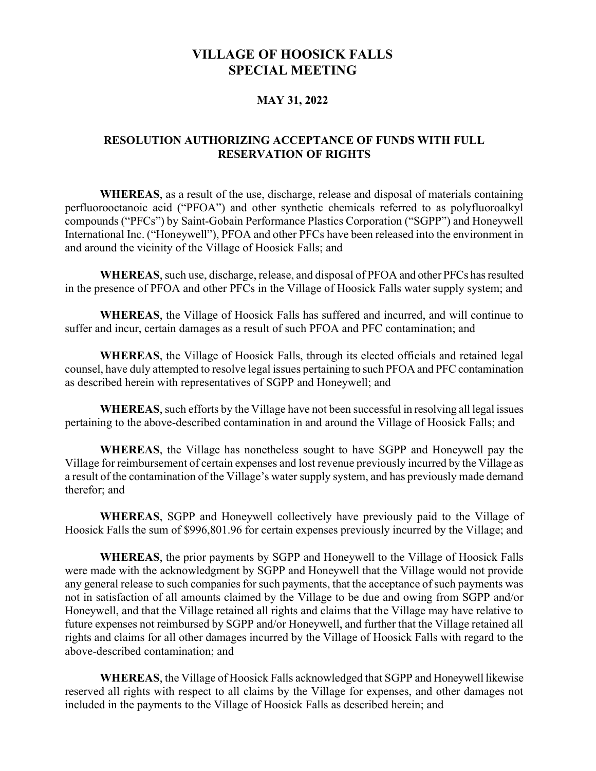## VILLAGE OF HOOSICK FALLS SPECIAL MEETING

## MAY 31, 2022

## RESOLUTION AUTHORIZING ACCEPTANCE OF FUNDS WITH FULL RESERVATION OF RIGHTS

WHEREAS, as a result of the use, discharge, release and disposal of materials containing perfluorooctanoic acid ("PFOA") and other synthetic chemicals referred to as polyfluoroalkyl compounds ("PFCs") by Saint-Gobain Performance Plastics Corporation ("SGPP") and Honeywell International Inc. ("Honeywell"), PFOA and other PFCs have been released into the environment in and around the vicinity of the Village of Hoosick Falls; and

WHEREAS, such use, discharge, release, and disposal of PFOA and other PFCs has resulted in the presence of PFOA and other PFCs in the Village of Hoosick Falls water supply system; and

WHEREAS, the Village of Hoosick Falls has suffered and incurred, and will continue to suffer and incur, certain damages as a result of such PFOA and PFC contamination; and

WHEREAS, the Village of Hoosick Falls, through its elected officials and retained legal counsel, have duly attempted to resolve legal issues pertaining to such PFOA and PFC contamination as described herein with representatives of SGPP and Honeywell; and

WHEREAS, such efforts by the Village have not been successful in resolving all legal issues pertaining to the above-described contamination in and around the Village of Hoosick Falls; and

WHEREAS, the Village has nonetheless sought to have SGPP and Honeywell pay the Village for reimbursement of certain expenses and lost revenue previously incurred by the Village as a result of the contamination of the Village's water supply system, and has previously made demand therefor; and

WHEREAS, SGPP and Honeywell collectively have previously paid to the Village of Hoosick Falls the sum of \$996,801.96 for certain expenses previously incurred by the Village; and

WHEREAS, the prior payments by SGPP and Honeywell to the Village of Hoosick Falls were made with the acknowledgment by SGPP and Honeywell that the Village would not provide any general release to such companies for such payments, that the acceptance of such payments was not in satisfaction of all amounts claimed by the Village to be due and owing from SGPP and/or Honeywell, and that the Village retained all rights and claims that the Village may have relative to future expenses not reimbursed by SGPP and/or Honeywell, and further that the Village retained all rights and claims for all other damages incurred by the Village of Hoosick Falls with regard to the above-described contamination; and

WHEREAS, the Village of Hoosick Falls acknowledged that SGPP and Honeywell likewise reserved all rights with respect to all claims by the Village for expenses, and other damages not included in the payments to the Village of Hoosick Falls as described herein; and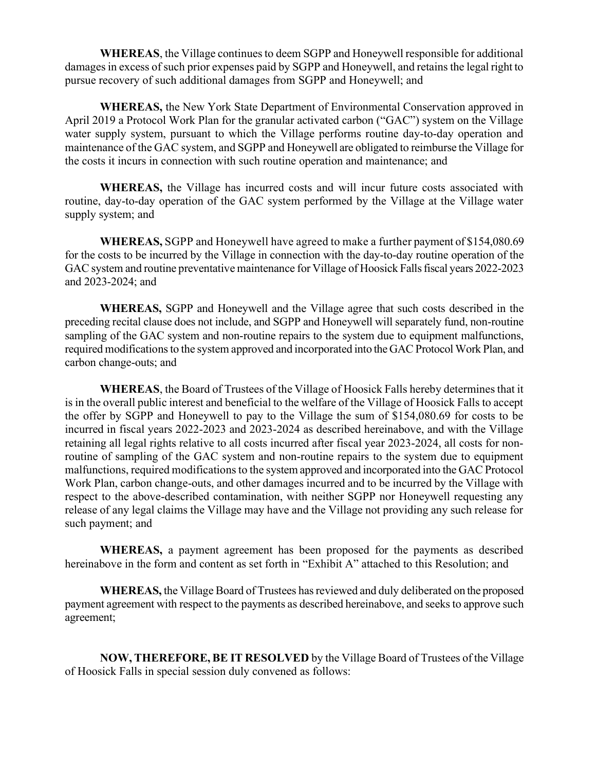WHEREAS, the Village continues to deem SGPP and Honeywell responsible for additional damages in excess of such prior expenses paid by SGPP and Honeywell, and retains the legal right to pursue recovery of such additional damages from SGPP and Honeywell; and

WHEREAS, the New York State Department of Environmental Conservation approved in April 2019 a Protocol Work Plan for the granular activated carbon ("GAC") system on the Village water supply system, pursuant to which the Village performs routine day-to-day operation and maintenance of the GAC system, and SGPP and Honeywell are obligated to reimburse the Village for the costs it incurs in connection with such routine operation and maintenance; and

WHEREAS, the Village has incurred costs and will incur future costs associated with routine, day-to-day operation of the GAC system performed by the Village at the Village water supply system; and

WHEREAS, SGPP and Honeywell have agreed to make a further payment of \$154,080.69 for the costs to be incurred by the Village in connection with the day-to-day routine operation of the GAC system and routine preventative maintenance for Village of Hoosick Falls fiscal years 2022-2023 and 2023-2024; and

WHEREAS, SGPP and Honeywell and the Village agree that such costs described in the preceding recital clause does not include, and SGPP and Honeywell will separately fund, non-routine sampling of the GAC system and non-routine repairs to the system due to equipment malfunctions, required modifications to the system approved and incorporated into the GAC Protocol Work Plan, and carbon change-outs; and

WHEREAS, the Board of Trustees of the Village of Hoosick Falls hereby determines that it is in the overall public interest and beneficial to the welfare of the Village of Hoosick Falls to accept the offer by SGPP and Honeywell to pay to the Village the sum of \$154,080.69 for costs to be incurred in fiscal years 2022-2023 and 2023-2024 as described hereinabove, and with the Village retaining all legal rights relative to all costs incurred after fiscal year 2023-2024, all costs for nonroutine of sampling of the GAC system and non-routine repairs to the system due to equipment malfunctions, required modifications to the system approved and incorporated into the GAC Protocol Work Plan, carbon change-outs, and other damages incurred and to be incurred by the Village with respect to the above-described contamination, with neither SGPP nor Honeywell requesting any release of any legal claims the Village may have and the Village not providing any such release for such payment; and

WHEREAS, a payment agreement has been proposed for the payments as described hereinabove in the form and content as set forth in "Exhibit A" attached to this Resolution; and

WHEREAS, the Village Board of Trustees has reviewed and duly deliberated on the proposed payment agreement with respect to the payments as described hereinabove, and seeks to approve such agreement;

NOW, THEREFORE, BE IT RESOLVED by the Village Board of Trustees of the Village of Hoosick Falls in special session duly convened as follows: